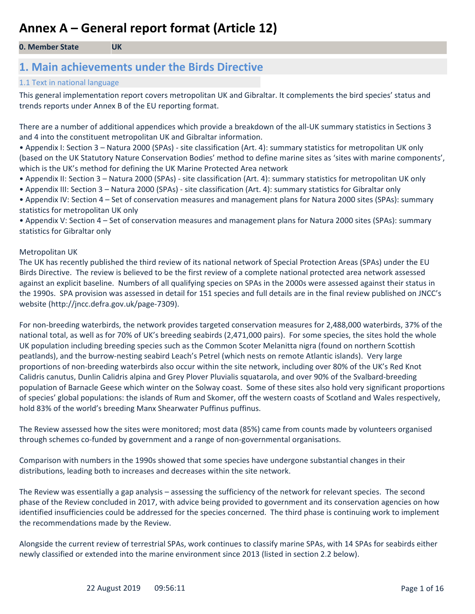#### **0. Member State UK**

### **1. Main achievements under the Birds Directive**

#### 1.1 Text in national language

This general implementation report covers metropolitan UK and Gibraltar. It complements the bird species' status and trends reports under Annex B of the EU reporting format.

There are a number of additional appendices which provide a breakdown of the all-UK summary statistics in Sections 3 and 4 into the constituent metropolitan UK and Gibraltar information.

• Appendix I: Section 3 – Natura 2000 (SPAs) - site classification (Art. 4): summary statistics for metropolitan UK only (based on the UK Statutory Nature Conservation Bodies' method to define marine sites as 'sites with marine components', which is the UK's method for defining the UK Marine Protected Area network

- Appendix II: Section 3 Natura 2000 (SPAs) site classification (Art. 4): summary statistics for metropolitan UK only
- Appendix III: Section 3 Natura 2000 (SPAs) site classification (Art. 4): summary statistics for Gibraltar only

• Appendix IV: Section 4 – Set of conservation measures and management plans for Natura 2000 sites (SPAs): summary statistics for metropolitan UK only

• Appendix V: Section 4 – Set of conservation measures and management plans for Natura 2000 sites (SPAs): summary statistics for Gibraltar only

#### Metropolitan UK

The UK has recently published the third review of its national network of Special Protection Areas (SPAs) under the EU Birds Directive. The review is believed to be the first review of a complete national protected area network assessed against an explicit baseline. Numbers of all qualifying species on SPAs in the 2000s were assessed against their status in the 1990s. SPA provision was assessed in detail for 151 species and full details are in the final review published on JNCC's website (http://jncc.defra.gov.uk/page-7309).

For non-breeding waterbirds, the network provides targeted conservation measures for 2,488,000 waterbirds, 37% of the national total, as well as for 70% of UK's breeding seabirds (2,471,000 pairs). For some species, the sites hold the whole UK population including breeding species such as the Common Scoter Melanitta nigra (found on northern Scottish peatlands), and the burrow-nesting seabird Leach's Petrel (which nests on remote Atlantic islands). Very large proportions of non-breeding waterbirds also occur within the site network, including over 80% of the UK's Red Knot Calidris canutus, Dunlin Calidris alpina and Grey Plover Pluvialis squatarola, and over 90% of the Svalbard-breeding population of Barnacle Geese which winter on the Solway coast. Some of these sites also hold very significant proportions of species' global populations: the islands of Rum and Skomer, off the western coasts of Scotland and Wales respectively, hold 83% of the world's breeding Manx Shearwater Puffinus puffinus.

The Review assessed how the sites were monitored; most data (85%) came from counts made by volunteers organised through schemes co-funded by government and a range of non-governmental organisations.

Comparison with numbers in the 1990s showed that some species have undergone substantial changes in their distributions, leading both to increases and decreases within the site network.

The Review was essentially a gap analysis – assessing the sufficiency of the network for relevant species. The second phase of the Review concluded in 2017, with advice being provided to government and its conservation agencies on how identified insufficiencies could be addressed for the species concerned. The third phase is continuing work to implement the recommendations made by the Review.

Alongside the current review of terrestrial SPAs, work continues to classify marine SPAs, with 14 SPAs for seabirds either newly classified or extended into the marine environment since 2013 (listed in section 2.2 below).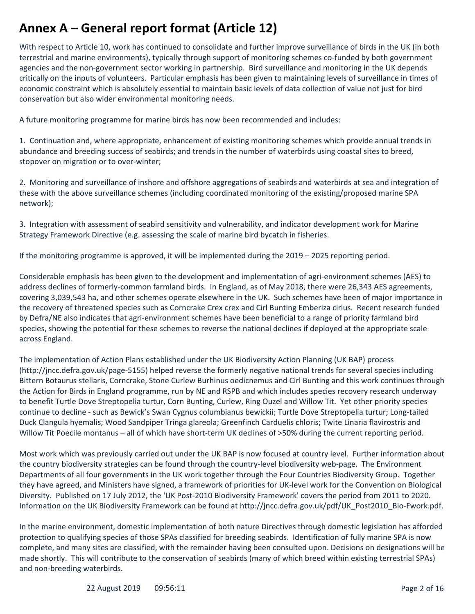With respect to Article 10, work has continued to consolidate and further improve surveillance of birds in the UK (in both terrestrial and marine environments), typically through support of monitoring schemes co-funded by both government agencies and the non-government sector working in partnership. Bird surveillance and monitoring in the UK depends critically on the inputs of volunteers. Particular emphasis has been given to maintaining levels of surveillance in times of economic constraint which is absolutely essential to maintain basic levels of data collection of value not just for bird conservation but also wider environmental monitoring needs.

A future monitoring programme for marine birds has now been recommended and includes:

1. Continuation and, where appropriate, enhancement of existing monitoring schemes which provide annual trends in abundance and breeding success of seabirds; and trends in the number of waterbirds using coastal sites to breed, stopover on migration or to over-winter;

2. Monitoring and surveillance of inshore and offshore aggregations of seabirds and waterbirds at sea and integration of these with the above surveillance schemes (including coordinated monitoring of the existing/proposed marine SPA network);

3. Integration with assessment of seabird sensitivity and vulnerability, and indicator development work for Marine Strategy Framework Directive (e.g. assessing the scale of marine bird bycatch in fisheries.

If the monitoring programme is approved, it will be implemented during the 2019 – 2025 reporting period.

Considerable emphasis has been given to the development and implementation of agri-environment schemes (AES) to address declines of formerly-common farmland birds. In England, as of May 2018, there were 26,343 AES agreements, covering 3,039,543 ha, and other schemes operate elsewhere in the UK. Such schemes have been of major importance in the recovery of threatened species such as Corncrake Crex crex and Cirl Bunting Emberiza cirlus. Recent research funded by Defra/NE also indicates that agri-environment schemes have been beneficial to a range of priority farmland bird species, showing the potential for these schemes to reverse the national declines if deployed at the appropriate scale across England.

The implementation of Action Plans established under the UK Biodiversity Action Planning (UK BAP) process (http://jncc.defra.gov.uk/page-5155) helped reverse the formerly negative national trends for several species including Bittern Botaurus stellaris, Corncrake, Stone Curlew Burhinus oedicnemus and Cirl Bunting and this work continues through the Action for Birds in England programme, run by NE and RSPB and which includes species recovery research underway to benefit Turtle Dove Streptopelia turtur, Corn Bunting, Curlew, Ring Ouzel and Willow Tit. Yet other priority species continue to decline - such as Bewick's Swan Cygnus columbianus bewickii; Turtle Dove Streptopelia turtur; Long-tailed Duck Clangula hyemalis; Wood Sandpiper Tringa glareola; Greenfinch Carduelis chloris; Twite Linaria flavirostris and Willow Tit Poecile montanus – all of which have short-term UK declines of >50% during the current reporting period.

Most work which was previously carried out under the UK BAP is now focused at country level. Further information about the country biodiversity strategies can be found through the country-level biodiversity web-page. The Environment Departments of all four governments in the UK work together through the Four Countries Biodiversity Group. Together they have agreed, and Ministers have signed, a framework of priorities for UK-level work for the Convention on Biological Diversity. Published on 17 July 2012, the 'UK Post-2010 Biodiversity Framework' covers the period from 2011 to 2020. Information on the UK Biodiversity Framework can be found at http://jncc.defra.gov.uk/pdf/UK\_Post2010\_Bio-Fwork.pdf.

In the marine environment, domestic implementation of both nature Directives through domestic legislation has afforded protection to qualifying species of those SPAs classified for breeding seabirds. Identification of fully marine SPA is now complete, and many sites are classified, with the remainder having been consulted upon. Decisions on designations will be made shortly. This will contribute to the conservation of seabirds (many of which breed within existing terrestrial SPAs) and non-breeding waterbirds.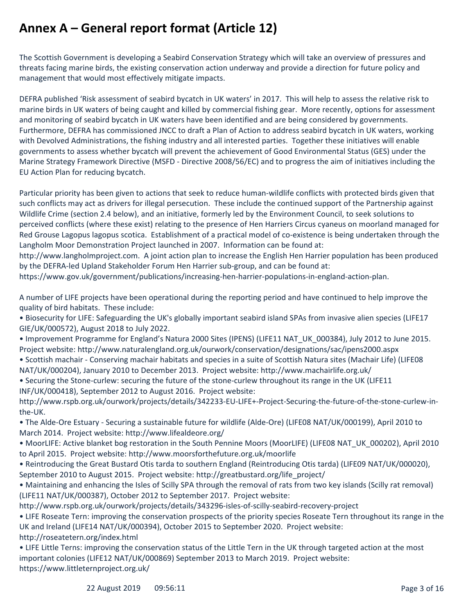The Scottish Government is developing a Seabird Conservation Strategy which will take an overview of pressures and threats facing marine birds, the existing conservation action underway and provide a direction for future policy and management that would most effectively mitigate impacts.

DEFRA published 'Risk assessment of seabird bycatch in UK waters' in 2017. This will help to assess the relative risk to marine birds in UK waters of being caught and killed by commercial fishing gear. More recently, options for assessment and monitoring of seabird bycatch in UK waters have been identified and are being considered by governments. Furthermore, DEFRA has commissioned JNCC to draft a Plan of Action to address seabird bycatch in UK waters, working with Devolved Administrations, the fishing industry and all interested parties. Together these initiatives will enable governments to assess whether bycatch will prevent the achievement of Good Environmental Status (GES) under the Marine Strategy Framework Directive (MSFD - Directive 2008/56/EC) and to progress the aim of initiatives including the EU Action Plan for reducing bycatch.

Particular priority has been given to actions that seek to reduce human-wildlife conflicts with protected birds given that such conflicts may act as drivers for illegal persecution. These include the continued support of the Partnership against Wildlife Crime (section 2.4 below), and an initiative, formerly led by the Environment Council, to seek solutions to perceived conflicts (where these exist) relating to the presence of Hen Harriers Circus cyaneus on moorland managed for Red Grouse Lagopus lagopus scotica. Establishment of a practical model of co-existence is being undertaken through the Langholm Moor Demonstration Project launched in 2007. Information can be found at:

http://www.langholmproject.com. A joint action plan to increase the English Hen Harrier population has been produced by the DEFRA-led Upland Stakeholder Forum Hen Harrier sub-group, and can be found at:

https://www.gov.uk/government/publications/increasing-hen-harrier-populations-in-england-action-plan.

A number of LIFE projects have been operational during the reporting period and have continued to help improve the quality of bird habitats. These include:

- Biosecurity for LIFE: Safeguarding the UK's globally important seabird island SPAs from invasive alien species (LIFE17 GIE/UK/000572), August 2018 to July 2022.
- Improvement Programme for England's Natura 2000 Sites (IPENS) (LIFE11 NAT\_UK\_000384), July 2012 to June 2015. Project website: http://www.naturalengland.org.uk/ourwork/conservation/designations/sac/ipens2000.aspx
- Scottish machair Conserving machair habitats and species in a suite of Scottish Natura sites (Machair Life) (LIFE08
- NAT/UK/000204), January 2010 to December 2013. Project website: http://www.machairlife.org.uk/

• Securing the Stone-curlew: securing the future of the stone-curlew throughout its range in the UK (LIFE11 INF/UK/000418), September 2012 to August 2016. Project website:

http://www.rspb.org.uk/ourwork/projects/details/342233-EU-LIFE+-Project-Securing-the-future-of-the-stone-curlew-inthe-UK.

- The Alde-Ore Estuary Securing a sustainable future for wildlife (Alde-Ore) (LIFE08 NAT/UK/000199), April 2010 to March 2014. Project website: http://www.lifealdeore.org/
- MoorLIFE: Active blanket bog restoration in the South Pennine Moors (MoorLIFE) (LIFE08 NAT\_UK\_000202), April 2010 to April 2015. Project website: http://www.moorsforthefuture.org.uk/moorlife
- Reintroducing the Great Bustard Otis tarda to southern England (Reintroducing Otis tarda) (LIFE09 NAT/UK/000020), September 2010 to August 2015. Project website: http://greatbustard.org/life\_project/
- Maintaining and enhancing the Isles of Scilly SPA through the removal of rats from two key islands (Scilly rat removal) (LIFE11 NAT/UK/000387), October 2012 to September 2017. Project website:
- http://www.rspb.org.uk/ourwork/projects/details/343296-isles-of-scilly-seabird-recovery-project
- LIFE Roseate Tern: improving the conservation prospects of the priority species Roseate Tern throughout its range in the UK and Ireland (LIFE14 NAT/UK/000394), October 2015 to September 2020. Project website: http://roseatetern.org/index.html
- LIFE Little Terns: improving the conservation status of the Little Tern in the UK through targeted action at the most important colonies (LIFE12 NAT/UK/000869) September 2013 to March 2019. Project website: https://www.littleternproject.org.uk/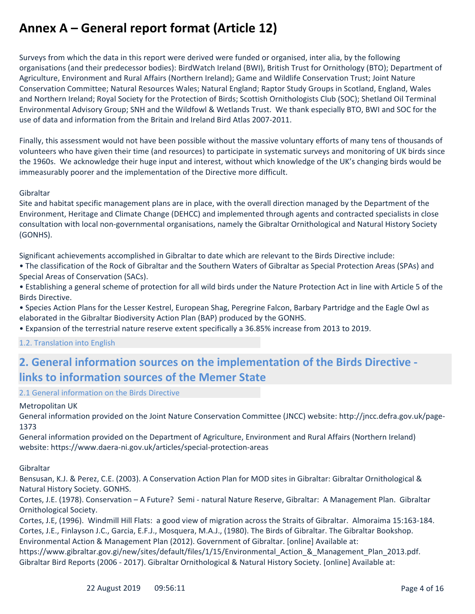Surveys from which the data in this report were derived were funded or organised, inter alia, by the following organisations (and their predecessor bodies): BirdWatch Ireland (BWI), British Trust for Ornithology (BTO); Department of Agriculture, Environment and Rural Affairs (Northern Ireland); Game and Wildlife Conservation Trust; Joint Nature Conservation Committee; Natural Resources Wales; Natural England; Raptor Study Groups in Scotland, England, Wales and Northern Ireland; Royal Society for the Protection of Birds; Scottish Ornithologists Club (SOC); Shetland Oil Terminal Environmental Advisory Group; SNH and the Wildfowl & Wetlands Trust. We thank especially BTO, BWI and SOC for the use of data and information from the Britain and Ireland Bird Atlas 2007-2011.

Finally, this assessment would not have been possible without the massive voluntary efforts of many tens of thousands of volunteers who have given their time (and resources) to participate in systematic surveys and monitoring of UK birds since the 1960s. We acknowledge their huge input and interest, without which knowledge of the UK's changing birds would be immeasurably poorer and the implementation of the Directive more difficult.

#### Gibraltar

Site and habitat specific management plans are in place, with the overall direction managed by the Department of the Environment, Heritage and Climate Change (DEHCC) and implemented through agents and contracted specialists in close consultation with local non-governmental organisations, namely the Gibraltar Ornithological and Natural History Society (GONHS).

Significant achievements accomplished in Gibraltar to date which are relevant to the Birds Directive include:

- The classification of the Rock of Gibraltar and the Southern Waters of Gibraltar as Special Protection Areas (SPAs) and Special Areas of Conservation (SACs).
- Establishing a general scheme of protection for all wild birds under the Nature Protection Act in line with Article 5 of the Birds Directive.
- Species Action Plans for the Lesser Kestrel, European Shag, Peregrine Falcon, Barbary Partridge and the Eagle Owl as elaborated in the Gibraltar Biodiversity Action Plan (BAP) produced by the GONHS.
- Expansion of the terrestrial nature reserve extent specifically a 36.85% increase from 2013 to 2019.

1.2. Translation into English

### **2. General information sources on the implementation of the Birds Directive links to information sources of the Memer State**

2.1 General information on the Birds Directive

#### Metropolitan UK

General information provided on the Joint Nature Conservation Committee (JNCC) website: http://jncc.defra.gov.uk/page-1373

General information provided on the Department of Agriculture, Environment and Rural Affairs (Northern Ireland) website: https://www.daera-ni.gov.uk/articles/special-protection-areas

Gibraltar

Bensusan, K.J. & Perez, C.E. (2003). A Conservation Action Plan for MOD sites in Gibraltar: Gibraltar Ornithological & Natural History Society. GONHS.

Cortes, J.E. (1978). Conservation – A Future? Semi - natural Nature Reserve, Gibraltar: A Management Plan. Gibraltar Ornithological Society.

Cortes, J.E, (1996). Windmill Hill Flats: a good view of migration across the Straits of Gibraltar. Almoraima 15:163-184. Cortes, J.E., Finlayson J.C., Garcia, E.F.J., Mosquera, M.A.J., (1980). The Birds of Gibraltar. The Gibraltar Bookshop. Environmental Action & Management Plan (2012). Government of Gibraltar. [online] Available at:

https://www.gibraltar.gov.gi/new/sites/default/files/1/15/Environmental\_Action\_&\_Management\_Plan\_2013.pdf. Gibraltar Bird Reports (2006 - 2017). Gibraltar Ornithological & Natural History Society. [online] Available at: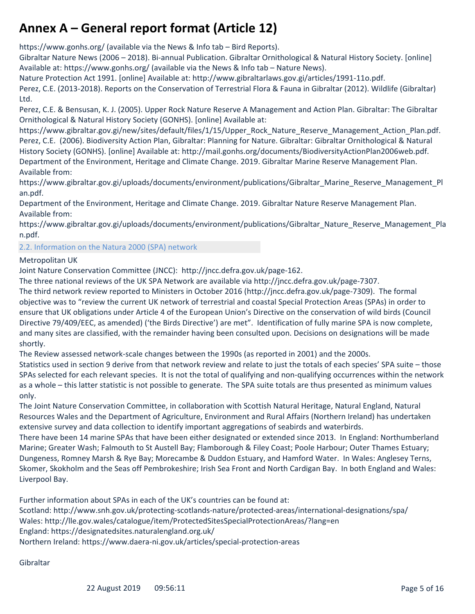https://www.gonhs.org/ (available via the News & Info tab – Bird Reports).

Gibraltar Nature News (2006 – 2018). Bi-annual Publication. Gibraltar Ornithological & Natural History Society. [online] Available at: https://www.gonhs.org/ (available via the News & Info tab – Nature News).

Nature Protection Act 1991. [online] Available at: http://www.gibraltarlaws.gov.gi/articles/1991-11o.pdf.

Perez, C.E. (2013-2018). Reports on the Conservation of Terrestrial Flora & Fauna in Gibraltar (2012). Wildlife (Gibraltar) Ltd.

Perez, C.E. & Bensusan, K. J. (2005). Upper Rock Nature Reserve A Management and Action Plan. Gibraltar: The Gibraltar Ornithological & Natural History Society (GONHS). [online] Available at:

https://www.gibraltar.gov.gi/new/sites/default/files/1/15/Upper\_Rock\_Nature\_Reserve\_Management\_Action\_Plan.pdf. Perez, C.E. (2006). Biodiversity Action Plan, Gibraltar: Planning for Nature. Gibraltar: Gibraltar Ornithological & Natural History Society (GONHS). [online] Available at: http://mail.gonhs.org/documents/BiodiversityActionPlan2006web.pdf. Department of the Environment, Heritage and Climate Change. 2019. Gibraltar Marine Reserve Management Plan. Available from:

https://www.gibraltar.gov.gi/uploads/documents/environment/publications/Gibraltar\_Marine\_Reserve\_Management\_Pl an.pdf.

Department of the Environment, Heritage and Climate Change. 2019. Gibraltar Nature Reserve Management Plan. Available from:

https://www.gibraltar.gov.gi/uploads/documents/environment/publications/Gibraltar\_Nature\_Reserve\_Management\_Pla n.pdf.

2.2. Information on the Natura 2000 (SPA) network

#### Metropolitan UK

Joint Nature Conservation Committee (JNCC): http://jncc.defra.gov.uk/page-162.

The three national reviews of the UK SPA Network are available via http://jncc.defra.gov.uk/page-7307.

The third network review reported to Ministers in October 2016 (http://jncc.defra.gov.uk/page-7309). The formal objective was to "review the current UK network of terrestrial and coastal Special Protection Areas (SPAs) in order to ensure that UK obligations under Article 4 of the European Union's Directive on the conservation of wild birds (Council Directive 79/409/EEC, as amended) ('the Birds Directive') are met". Identification of fully marine SPA is now complete, and many sites are classified, with the remainder having been consulted upon. Decisions on designations will be made shortly.

The Review assessed network-scale changes between the 1990s (as reported in 2001) and the 2000s.

Statistics used in section 9 derive from that network review and relate to just the totals of each species' SPA suite – those SPAs selected for each relevant species. It is not the total of qualifying and non-qualifying occurrences within the network as a whole – this latter statistic is not possible to generate. The SPA suite totals are thus presented as minimum values only.

The Joint Nature Conservation Committee, in collaboration with Scottish Natural Heritage, Natural England, Natural Resources Wales and the Department of Agriculture, Environment and Rural Affairs (Northern Ireland) has undertaken extensive survey and data collection to identify important aggregations of seabirds and waterbirds.

There have been 14 marine SPAs that have been either designated or extended since 2013. In England: Northumberland Marine; Greater Wash; Falmouth to St Austell Bay; Flamborough & Filey Coast; Poole Harbour; Outer Thames Estuary; Dungeness, Romney Marsh & Rye Bay; Morecambe & Duddon Estuary, and Hamford Water. In Wales: Anglesey Terns, Skomer, Skokholm and the Seas off Pembrokeshire; Irish Sea Front and North Cardigan Bay. In both England and Wales: Liverpool Bay.

Further information about SPAs in each of the UK's countries can be found at:

Scotland: http://www.snh.gov.uk/protecting-scotlands-nature/protected-areas/international-designations/spa/

Wales: http://lle.gov.wales/catalogue/item/ProtectedSitesSpecialProtectionAreas/?lang=en

England: https://designatedsites.naturalengland.org.uk/

Northern Ireland: https://www.daera-ni.gov.uk/articles/special-protection-areas

Gibraltar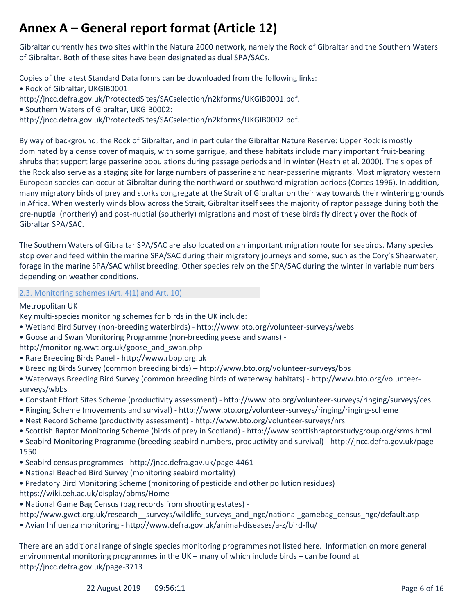Gibraltar currently has two sites within the Natura 2000 network, namely the Rock of Gibraltar and the Southern Waters of Gibraltar. Both of these sites have been designated as dual SPA/SACs.

Copies of the latest Standard Data forms can be downloaded from the following links: • Rock of Gibraltar, UKGIB0001:

http://jncc.defra.gov.uk/ProtectedSites/SACselection/n2kforms/UKGIB0001.pdf.

• Southern Waters of Gibraltar, UKGIB0002:

http://jncc.defra.gov.uk/ProtectedSites/SACselection/n2kforms/UKGIB0002.pdf.

By way of background, the Rock of Gibraltar, and in particular the Gibraltar Nature Reserve: Upper Rock is mostly dominated by a dense cover of maquis, with some garrigue, and these habitats include many important fruit-bearing shrubs that support large passerine populations during passage periods and in winter (Heath et al. 2000). The slopes of the Rock also serve as a staging site for large numbers of passerine and near-passerine migrants. Most migratory western European species can occur at Gibraltar during the northward or southward migration periods (Cortes 1996). In addition, many migratory birds of prey and storks congregate at the Strait of Gibraltar on their way towards their wintering grounds in Africa. When westerly winds blow across the Strait, Gibraltar itself sees the majority of raptor passage during both the pre-nuptial (northerly) and post-nuptial (southerly) migrations and most of these birds fly directly over the Rock of Gibraltar SPA/SAC.

The Southern Waters of Gibraltar SPA/SAC are also located on an important migration route for seabirds. Many species stop over and feed within the marine SPA/SAC during their migratory journeys and some, such as the Cory's Shearwater, forage in the marine SPA/SAC whilst breeding. Other species rely on the SPA/SAC during the winter in variable numbers depending on weather conditions.

2.3. Monitoring schemes (Art. 4(1) and Art. 10)

Metropolitan UK

Key multi-species monitoring schemes for birds in the UK include:

- Wetland Bird Survey (non-breeding waterbirds) http://www.bto.org/volunteer-surveys/webs
- Goose and Swan Monitoring Programme (non-breeding geese and swans) -

http://monitoring.wwt.org.uk/goose\_and\_swan.php

- Rare Breeding Birds Panel http://www.rbbp.org.uk
- Breeding Birds Survey (common breeding birds) http://www.bto.org/volunteer-surveys/bbs

• Waterways Breeding Bird Survey (common breeding birds of waterway habitats) - http://www.bto.org/volunteersurveys/wbbs

- Constant Effort Sites Scheme (productivity assessment) http://www.bto.org/volunteer-surveys/ringing/surveys/ces
- Ringing Scheme (movements and survival) http://www.bto.org/volunteer-surveys/ringing/ringing-scheme
- Nest Record Scheme (productivity assessment) http://www.bto.org/volunteer-surveys/nrs
- Scottish Raptor Monitoring Scheme (birds of prey in Scotland) http://www.scottishraptorstudygroup.org/srms.html

• Seabird Monitoring Programme (breeding seabird numbers, productivity and survival) - http://jncc.defra.gov.uk/page-1550

- Seabird census programmes http://jncc.defra.gov.uk/page-4461
- National Beached Bird Survey (monitoring seabird mortality)
- Predatory Bird Monitoring Scheme (monitoring of pesticide and other pollution residues)
- https://wiki.ceh.ac.uk/display/pbms/Home
- National Game Bag Census (bag records from shooting estates) -

http://www.gwct.org.uk/research\_\_surveys/wildlife\_surveys\_and\_ngc/national\_gamebag\_census\_ngc/default.asp

• Avian Influenza monitoring - http://www.defra.gov.uk/animal-diseases/a-z/bird-flu/

There are an additional range of single species monitoring programmes not listed here. Information on more general environmental monitoring programmes in the UK – many of which include birds – can be found at http://jncc.defra.gov.uk/page-3713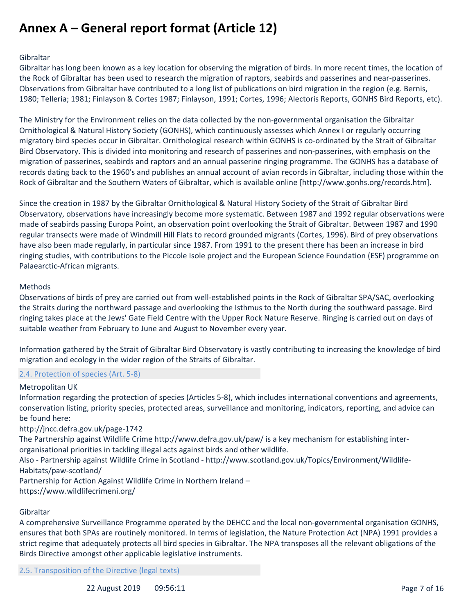#### Gibraltar

Gibraltar has long been known as a key location for observing the migration of birds. In more recent times, the location of the Rock of Gibraltar has been used to research the migration of raptors, seabirds and passerines and near-passerines. Observations from Gibraltar have contributed to a long list of publications on bird migration in the region (e.g. Bernis, 1980; Telleria; 1981; Finlayson & Cortes 1987; Finlayson, 1991; Cortes, 1996; Alectoris Reports, GONHS Bird Reports, etc).

The Ministry for the Environment relies on the data collected by the non-governmental organisation the Gibraltar Ornithological & Natural History Society (GONHS), which continuously assesses which Annex I or regularly occurring migratory bird species occur in Gibraltar. Ornithological research within GONHS is co-ordinated by the Strait of Gibraltar Bird Observatory. This is divided into monitoring and research of passerines and non-passerines, with emphasis on the migration of passerines, seabirds and raptors and an annual passerine ringing programme. The GONHS has a database of records dating back to the 1960's and publishes an annual account of avian records in Gibraltar, including those within the Rock of Gibraltar and the Southern Waters of Gibraltar, which is available online [http://www.gonhs.org/records.htm].

Since the creation in 1987 by the Gibraltar Ornithological & Natural History Society of the Strait of Gibraltar Bird Observatory, observations have increasingly become more systematic. Between 1987 and 1992 regular observations were made of seabirds passing Europa Point, an observation point overlooking the Strait of Gibraltar. Between 1987 and 1990 regular transects were made of Windmill Hill Flats to record grounded migrants (Cortes, 1996). Bird of prey observations have also been made regularly, in particular since 1987. From 1991 to the present there has been an increase in bird ringing studies, with contributions to the Piccole Isole project and the European Science Foundation (ESF) programme on Palaearctic-African migrants.

#### Methods

Observations of birds of prey are carried out from well-established points in the Rock of Gibraltar SPA/SAC, overlooking the Straits during the northward passage and overlooking the Isthmus to the North during the southward passage. Bird ringing takes place at the Jews' Gate Field Centre with the Upper Rock Nature Reserve. Ringing is carried out on days of suitable weather from February to June and August to November every year.

Information gathered by the Strait of Gibraltar Bird Observatory is vastly contributing to increasing the knowledge of bird migration and ecology in the wider region of the Straits of Gibraltar.

#### 2.4. Protection of species (Art. 5-8)

#### Metropolitan UK

Information regarding the protection of species (Articles 5-8), which includes international conventions and agreements, conservation listing, priority species, protected areas, surveillance and monitoring, indicators, reporting, and advice can be found here:

#### http://jncc.defra.gov.uk/page-1742

The Partnership against Wildlife Crime http://www.defra.gov.uk/paw/ is a key mechanism for establishing interorganisational priorities in tackling illegal acts against birds and other wildlife.

Also - Partnership against Wildlife Crime in Scotland - http://www.scotland.gov.uk/Topics/Environment/Wildlife-Habitats/paw-scotland/

Partnership for Action Against Wildlife Crime in Northern Ireland – https://www.wildlifecrimeni.org/

#### Gibraltar

A comprehensive Surveillance Programme operated by the DEHCC and the local non-governmental organisation GONHS, ensures that both SPAs are routinely monitored. In terms of legislation, the Nature Protection Act (NPA) 1991 provides a strict regime that adequately protects all bird species in Gibraltar. The NPA transposes all the relevant obligations of the Birds Directive amongst other applicable legislative instruments.

2.5. Transposition of the Directive (legal texts)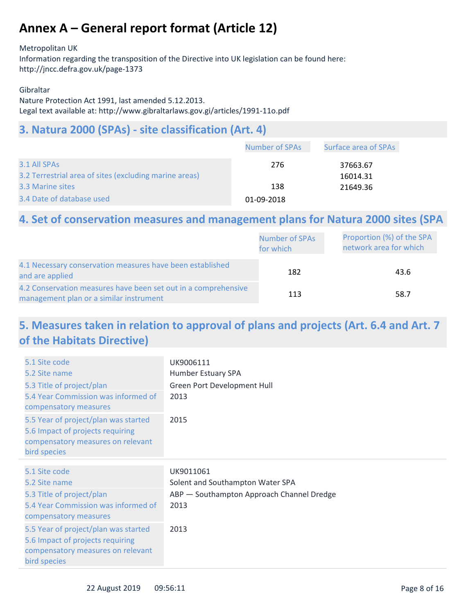#### Metropolitan UK

Information regarding the transposition of the Directive into UK legislation can be found here: http://jncc.defra.gov.uk/page-1373

#### Gibraltar

Nature Protection Act 1991, last amended 5.12.2013. Legal text available at: http://www.gibraltarlaws.gov.gi/articles/1991-11o.pdf

### **3. Natura 2000 (SPAs) - site classification (Art. 4)**

|                                                        | <b>Number of SPAs</b> | Surface area of SPAs |
|--------------------------------------------------------|-----------------------|----------------------|
| 3.1 All SPAs                                           | 276                   | 37663.67             |
| 3.2 Terrestrial area of sites (excluding marine areas) |                       | 16014.31             |
| 3.3 Marine sites                                       | 138                   | 21649.36             |
| 3.4 Date of database used                              | 01-09-2018            |                      |

### **4. Set of conservation measures and management plans for Natura 2000 sites (SPA**

|                                                                                                           | <b>Number of SPAs</b><br>for which | Proportion (%) of the SPA<br>network area for which |
|-----------------------------------------------------------------------------------------------------------|------------------------------------|-----------------------------------------------------|
| 4.1 Necessary conservation measures have been established<br>and are applied                              | 182                                | 43.6                                                |
| 4.2 Conservation measures have been set out in a comprehensive<br>management plan or a similar instrument | 113                                | 58.7                                                |

### **5. Measures taken in relation to approval of plans and projects (Art. 6.4 and Art. 7 of the Habitats Directive)**

| 5.1 Site code<br>5.2 Site name<br>5.3 Title of project/plan<br>5.4 Year Commission was informed of<br>compensatory measures   | UK9006111<br>Humber Estuary SPA<br>Green Port Development Hull<br>2013 |
|-------------------------------------------------------------------------------------------------------------------------------|------------------------------------------------------------------------|
| 5.5 Year of project/plan was started<br>5.6 Impact of projects requiring<br>compensatory measures on relevant<br>bird species | 2015                                                                   |
|                                                                                                                               |                                                                        |
| 5.1 Site code                                                                                                                 | UK9011061                                                              |
| 5.2 Site name                                                                                                                 | Solent and Southampton Water SPA                                       |
|                                                                                                                               |                                                                        |
| 5.3 Title of project/plan                                                                                                     | ABP - Southampton Approach Channel Dredge                              |
| 5.4 Year Commission was informed of<br>compensatory measures                                                                  | 2013                                                                   |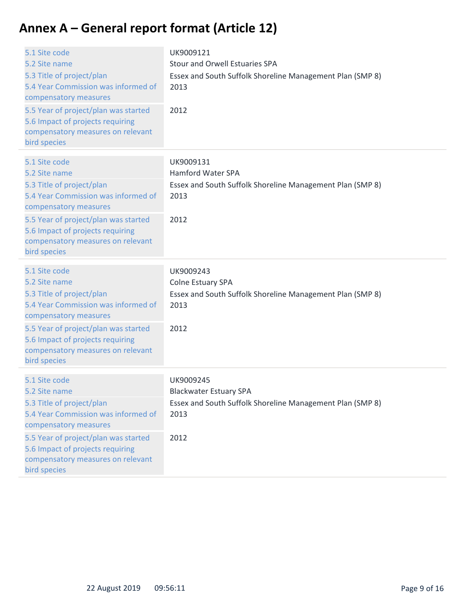| 5.1 Site code<br>5.2 Site name<br>5.3 Title of project/plan<br>5.4 Year Commission was informed of<br>compensatory measures<br>5.5 Year of project/plan was started<br>5.6 Impact of projects requiring<br>compensatory measures on relevant<br>bird species | UK9009121<br><b>Stour and Orwell Estuaries SPA</b><br>Essex and South Suffolk Shoreline Management Plan (SMP 8)<br>2013<br>2012 |
|--------------------------------------------------------------------------------------------------------------------------------------------------------------------------------------------------------------------------------------------------------------|---------------------------------------------------------------------------------------------------------------------------------|
| 5.1 Site code<br>5.2 Site name<br>5.3 Title of project/plan<br>5.4 Year Commission was informed of<br>compensatory measures<br>5.5 Year of project/plan was started<br>5.6 Impact of projects requiring<br>compensatory measures on relevant<br>bird species | UK9009131<br>Hamford Water SPA<br>Essex and South Suffolk Shoreline Management Plan (SMP 8)<br>2013<br>2012                     |
| 5.1 Site code<br>5.2 Site name<br>5.3 Title of project/plan<br>5.4 Year Commission was informed of<br>compensatory measures<br>5.5 Year of project/plan was started<br>5.6 Impact of projects requiring<br>compensatory measures on relevant<br>bird species | UK9009243<br>Colne Estuary SPA<br>Essex and South Suffolk Shoreline Management Plan (SMP 8)<br>2013<br>2012                     |
| 5.1 Site code<br>5.2 Site name<br>5.3 Title of project/plan<br>5.4 Year Commission was informed of<br>compensatory measures<br>5.5 Year of project/plan was started<br>5.6 Impact of projects requiring<br>compensatory measures on relevant<br>bird species | UK9009245<br><b>Blackwater Estuary SPA</b><br>Essex and South Suffolk Shoreline Management Plan (SMP 8)<br>2013<br>2012         |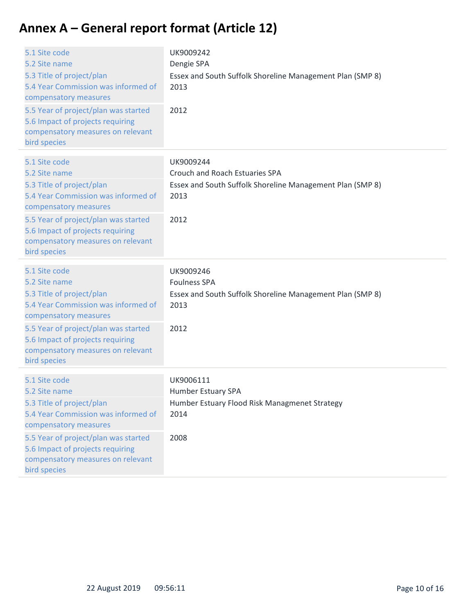| 5.1 Site code<br>5.2 Site name<br>5.3 Title of project/plan<br>5.4 Year Commission was informed of<br>compensatory measures<br>5.5 Year of project/plan was started<br>5.6 Impact of projects requiring<br>compensatory measures on relevant<br>bird species | UK9009242<br>Dengie SPA<br>Essex and South Suffolk Shoreline Management Plan (SMP 8)<br>2013<br>2012                     |
|--------------------------------------------------------------------------------------------------------------------------------------------------------------------------------------------------------------------------------------------------------------|--------------------------------------------------------------------------------------------------------------------------|
| 5.1 Site code<br>5.2 Site name<br>5.3 Title of project/plan<br>5.4 Year Commission was informed of<br>compensatory measures<br>5.5 Year of project/plan was started<br>5.6 Impact of projects requiring<br>compensatory measures on relevant<br>bird species | UK9009244<br>Crouch and Roach Estuaries SPA<br>Essex and South Suffolk Shoreline Management Plan (SMP 8)<br>2013<br>2012 |
| 5.1 Site code<br>5.2 Site name<br>5.3 Title of project/plan<br>5.4 Year Commission was informed of<br>compensatory measures<br>5.5 Year of project/plan was started<br>5.6 Impact of projects requiring<br>compensatory measures on relevant<br>bird species | UK9009246<br><b>Foulness SPA</b><br>Essex and South Suffolk Shoreline Management Plan (SMP 8)<br>2013<br>2012            |
| 5.1 Site code<br>5.2 Site name<br>5.3 Title of project/plan<br>5.4 Year Commission was informed of<br>compensatory measures<br>5.5 Year of project/plan was started<br>5.6 Impact of projects requiring<br>compensatory measures on relevant<br>bird species | UK9006111<br>Humber Estuary SPA<br>Humber Estuary Flood Risk Managmenet Strategy<br>2014<br>2008                         |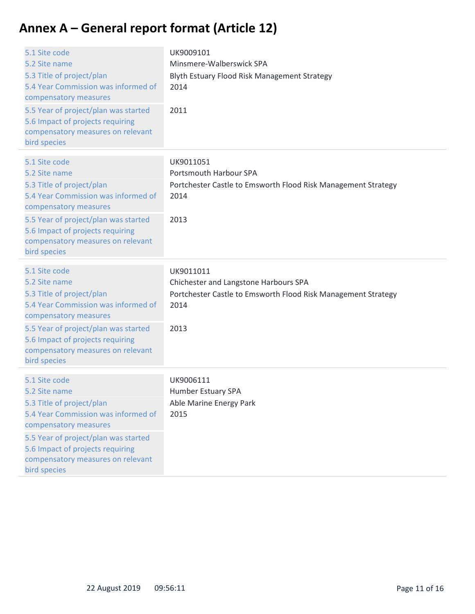| 5.1 Site code<br>5.2 Site name<br>5.3 Title of project/plan<br>5.4 Year Commission was informed of<br>compensatory measures<br>5.5 Year of project/plan was started<br>5.6 Impact of projects requiring<br>compensatory measures on relevant<br>bird species | UK9009101<br>Minsmere-Walberswick SPA<br>Blyth Estuary Flood Risk Management Strategy<br>2014<br>2011                               |
|--------------------------------------------------------------------------------------------------------------------------------------------------------------------------------------------------------------------------------------------------------------|-------------------------------------------------------------------------------------------------------------------------------------|
| 5.1 Site code<br>5.2 Site name<br>5.3 Title of project/plan<br>5.4 Year Commission was informed of<br>compensatory measures<br>5.5 Year of project/plan was started<br>5.6 Impact of projects requiring<br>compensatory measures on relevant<br>bird species | UK9011051<br>Portsmouth Harbour SPA<br>Portchester Castle to Emsworth Flood Risk Management Strategy<br>2014<br>2013                |
| 5.1 Site code<br>5.2 Site name<br>5.3 Title of project/plan<br>5.4 Year Commission was informed of<br>compensatory measures<br>5.5 Year of project/plan was started<br>5.6 Impact of projects requiring<br>compensatory measures on relevant<br>bird species | UK9011011<br>Chichester and Langstone Harbours SPA<br>Portchester Castle to Emsworth Flood Risk Management Strategy<br>2014<br>2013 |
| 5.1 Site code<br>5.2 Site name<br>5.3 Title of project/plan<br>5.4 Year Commission was informed of<br>compensatory measures<br>5.5 Year of project/plan was started<br>5.6 Impact of projects requiring<br>compensatory measures on relevant<br>bird species | UK9006111<br>Humber Estuary SPA<br>Able Marine Energy Park<br>2015                                                                  |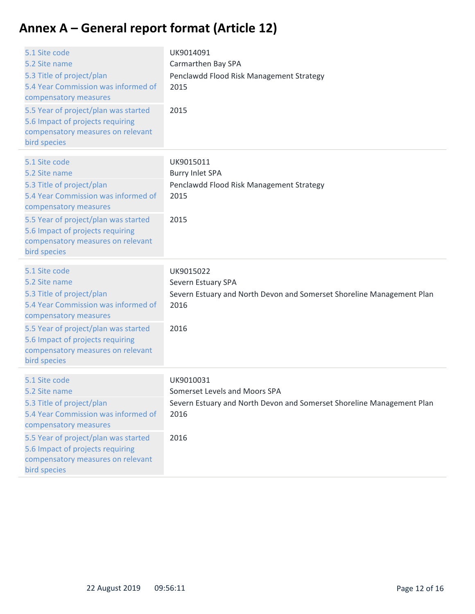| 5.1 Site code<br>5.2 Site name<br>5.3 Title of project/plan<br>5.4 Year Commission was informed of<br>compensatory measures<br>5.5 Year of project/plan was started<br>5.6 Impact of projects requiring<br>compensatory measures on relevant<br>bird species | UK9014091<br>Carmarthen Bay SPA<br>Penclawdd Flood Risk Management Strategy<br>2015<br>2015                                         |
|--------------------------------------------------------------------------------------------------------------------------------------------------------------------------------------------------------------------------------------------------------------|-------------------------------------------------------------------------------------------------------------------------------------|
| 5.1 Site code<br>5.2 Site name<br>5.3 Title of project/plan<br>5.4 Year Commission was informed of<br>compensatory measures<br>5.5 Year of project/plan was started<br>5.6 Impact of projects requiring<br>compensatory measures on relevant<br>bird species | UK9015011<br><b>Burry Inlet SPA</b><br>Penclawdd Flood Risk Management Strategy<br>2015<br>2015                                     |
| 5.1 Site code<br>5.2 Site name<br>5.3 Title of project/plan<br>5.4 Year Commission was informed of<br>compensatory measures<br>5.5 Year of project/plan was started<br>5.6 Impact of projects requiring<br>compensatory measures on relevant<br>bird species | UK9015022<br>Severn Estuary SPA<br>Severn Estuary and North Devon and Somerset Shoreline Management Plan<br>2016<br>2016            |
| 5.1 Site code<br>5.2 Site name<br>5.3 Title of project/plan<br>5.4 Year Commission was informed of<br>compensatory measures<br>5.5 Year of project/plan was started<br>5.6 Impact of projects requiring<br>compensatory measures on relevant<br>bird species | UK9010031<br>Somerset Levels and Moors SPA<br>Severn Estuary and North Devon and Somerset Shoreline Management Plan<br>2016<br>2016 |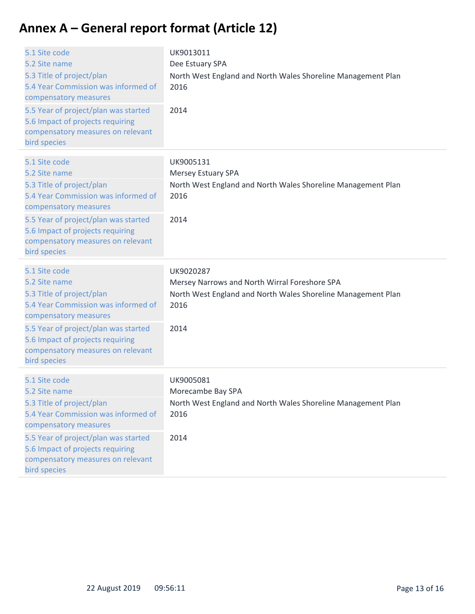| 5.1 Site code<br>5.2 Site name<br>5.3 Title of project/plan<br>5.4 Year Commission was informed of<br>compensatory measures<br>5.5 Year of project/plan was started<br>5.6 Impact of projects requiring<br>compensatory measures on relevant<br>bird species | UK9013011<br>Dee Estuary SPA<br>North West England and North Wales Shoreline Management Plan<br>2016<br>2014                               |
|--------------------------------------------------------------------------------------------------------------------------------------------------------------------------------------------------------------------------------------------------------------|--------------------------------------------------------------------------------------------------------------------------------------------|
| 5.1 Site code<br>5.2 Site name<br>5.3 Title of project/plan<br>5.4 Year Commission was informed of<br>compensatory measures<br>5.5 Year of project/plan was started<br>5.6 Impact of projects requiring<br>compensatory measures on relevant<br>bird species | UK9005131<br><b>Mersey Estuary SPA</b><br>North West England and North Wales Shoreline Management Plan<br>2016<br>2014                     |
| 5.1 Site code<br>5.2 Site name<br>5.3 Title of project/plan<br>5.4 Year Commission was informed of<br>compensatory measures<br>5.5 Year of project/plan was started<br>5.6 Impact of projects requiring<br>compensatory measures on relevant<br>bird species | UK9020287<br>Mersey Narrows and North Wirral Foreshore SPA<br>North West England and North Wales Shoreline Management Plan<br>2016<br>2014 |
| 5.1 Site code<br>5.2 Site name<br>5.3 Title of project/plan<br>5.4 Year Commission was informed of<br>compensatory measures<br>5.5 Year of project/plan was started<br>5.6 Impact of projects requiring<br>compensatory measures on relevant<br>bird species | UK9005081<br>Morecambe Bay SPA<br>North West England and North Wales Shoreline Management Plan<br>2016<br>2014                             |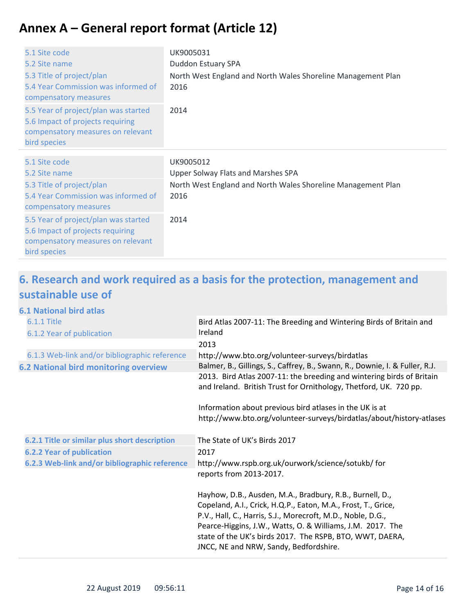| 5.1 Site code<br>5.2 Site name<br>5.3 Title of project/plan<br>5.4 Year Commission was informed of<br>compensatory measures<br>5.5 Year of project/plan was started<br>5.6 Impact of projects requiring<br>compensatory measures on relevant<br>bird species | UK9005031<br>Duddon Estuary SPA<br>North West England and North Wales Shoreline Management Plan<br>2016<br>2014                        |
|--------------------------------------------------------------------------------------------------------------------------------------------------------------------------------------------------------------------------------------------------------------|----------------------------------------------------------------------------------------------------------------------------------------|
| 5.1 Site code<br>5.2 Site name<br>5.3 Title of project/plan<br>5.4 Year Commission was informed of<br>compensatory measures<br>5.5 Year of project/plan was started<br>5.6 Impact of projects requiring<br>compensatory measures on relevant<br>bird species | UK9005012<br><b>Upper Solway Flats and Marshes SPA</b><br>North West England and North Wales Shoreline Management Plan<br>2016<br>2014 |

### **6. Research and work required as a basis for the protection, management and sustainable use of**

### **6.1 National bird atlas**

| <b>6.1.1 Title</b><br>6.1.2 Year of publication | Bird Atlas 2007-11: The Breeding and Wintering Birds of Britain and<br>Ireland                                                                                                        |
|-------------------------------------------------|---------------------------------------------------------------------------------------------------------------------------------------------------------------------------------------|
|                                                 | 2013                                                                                                                                                                                  |
| 6.1.3 Web-link and/or bibliographic reference   | http://www.bto.org/volunteer-surveys/birdatlas                                                                                                                                        |
| <b>6.2 National bird monitoring overview</b>    | Balmer, B., Gillings, S., Caffrey, B., Swann, R., Downie, I. & Fuller, R.J.                                                                                                           |
|                                                 | 2013. Bird Atlas 2007-11: the breeding and wintering birds of Britain<br>and Ireland. British Trust for Ornithology, Thetford, UK. 720 pp.                                            |
|                                                 | Information about previous bird atlases in the UK is at                                                                                                                               |
|                                                 | http://www.bto.org/volunteer-surveys/birdatlas/about/history-atlases                                                                                                                  |
| 6.2.1 Title or similar plus short description   | The State of UK's Birds 2017                                                                                                                                                          |
| <b>6.2.2 Year of publication</b>                | 2017                                                                                                                                                                                  |
| 6.2.3 Web-link and/or bibliographic reference   | http://www.rspb.org.uk/ourwork/science/sotukb/ for<br>reports from 2013-2017.                                                                                                         |
|                                                 | Hayhow, D.B., Ausden, M.A., Bradbury, R.B., Burnell, D.,                                                                                                                              |
|                                                 | Copeland, A.I., Crick, H.Q.P., Eaton, M.A., Frost, T., Grice,                                                                                                                         |
|                                                 | P.V., Hall, C., Harris, S.J., Morecroft, M.D., Noble, D.G.,<br>Pearce-Higgins, J.W., Watts, O. & Williams, J.M. 2017. The<br>state of the UK's birds 2017. The RSPB, BTO, WWT, DAERA, |
|                                                 | JNCC, NE and NRW, Sandy, Bedfordshire.                                                                                                                                                |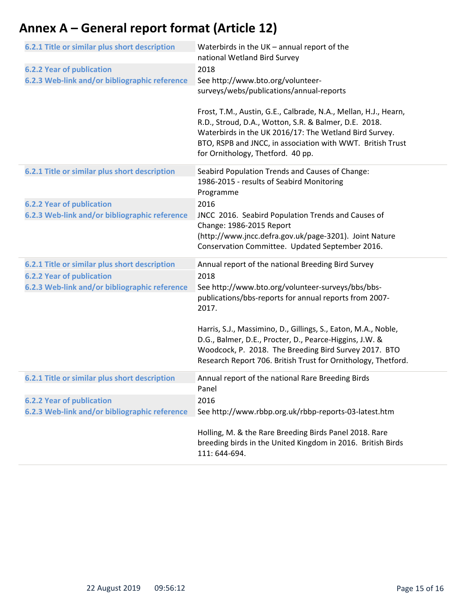| 6.2.1 Title or similar plus short description | Waterbirds in the $UK$ – annual report of the<br>national Wetland Bird Survey                                                                                                                                                                                                         |
|-----------------------------------------------|---------------------------------------------------------------------------------------------------------------------------------------------------------------------------------------------------------------------------------------------------------------------------------------|
| <b>6.2.2 Year of publication</b>              | 2018                                                                                                                                                                                                                                                                                  |
| 6.2.3 Web-link and/or bibliographic reference | See http://www.bto.org/volunteer-                                                                                                                                                                                                                                                     |
|                                               | surveys/webs/publications/annual-reports                                                                                                                                                                                                                                              |
|                                               | Frost, T.M., Austin, G.E., Calbrade, N.A., Mellan, H.J., Hearn,<br>R.D., Stroud, D.A., Wotton, S.R. & Balmer, D.E. 2018.<br>Waterbirds in the UK 2016/17: The Wetland Bird Survey.<br>BTO, RSPB and JNCC, in association with WWT. British Trust<br>for Ornithology, Thetford. 40 pp. |
| 6.2.1 Title or similar plus short description | Seabird Population Trends and Causes of Change:                                                                                                                                                                                                                                       |
|                                               | 1986-2015 - results of Seabird Monitoring<br>Programme                                                                                                                                                                                                                                |
| <b>6.2.2 Year of publication</b>              | 2016                                                                                                                                                                                                                                                                                  |
| 6.2.3 Web-link and/or bibliographic reference | JNCC 2016. Seabird Population Trends and Causes of                                                                                                                                                                                                                                    |
|                                               | Change: 1986-2015 Report                                                                                                                                                                                                                                                              |
|                                               | (http://www.jncc.defra.gov.uk/page-3201). Joint Nature                                                                                                                                                                                                                                |
|                                               | Conservation Committee. Updated September 2016.                                                                                                                                                                                                                                       |
| 6.2.1 Title or similar plus short description | Annual report of the national Breeding Bird Survey                                                                                                                                                                                                                                    |
| <b>6.2.2 Year of publication</b>              | 2018                                                                                                                                                                                                                                                                                  |
| 6.2.3 Web-link and/or bibliographic reference | See http://www.bto.org/volunteer-surveys/bbs/bbs-                                                                                                                                                                                                                                     |
|                                               | publications/bbs-reports for annual reports from 2007-<br>2017.                                                                                                                                                                                                                       |
|                                               | Harris, S.J., Massimino, D., Gillings, S., Eaton, M.A., Noble,                                                                                                                                                                                                                        |
|                                               | D.G., Balmer, D.E., Procter, D., Pearce-Higgins, J.W. &                                                                                                                                                                                                                               |
|                                               | Woodcock, P. 2018. The Breeding Bird Survey 2017. BTO                                                                                                                                                                                                                                 |
|                                               | Research Report 706. British Trust for Ornithology, Thetford.                                                                                                                                                                                                                         |
| 6.2.1 Title or similar plus short description | Annual report of the national Rare Breeding Birds<br>Panel                                                                                                                                                                                                                            |
| <b>6.2.2 Year of publication</b>              | 2016                                                                                                                                                                                                                                                                                  |
| 6.2.3 Web-link and/or bibliographic reference | See http://www.rbbp.org.uk/rbbp-reports-03-latest.htm                                                                                                                                                                                                                                 |
|                                               | Holling, M. & the Rare Breeding Birds Panel 2018. Rare                                                                                                                                                                                                                                |
|                                               | breeding birds in the United Kingdom in 2016. British Birds                                                                                                                                                                                                                           |
|                                               | 111: 644-694.                                                                                                                                                                                                                                                                         |